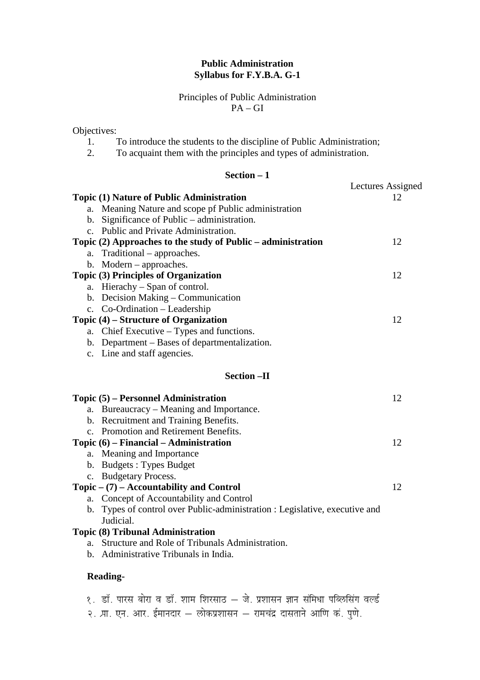## **Public Administration Syllabus for F.Y.B.A. G-1**

Principles of Public Administration PA – GI

Objectives:

- 1. To introduce the students to the discipline of Public Administration;
- 2. To acquaint them with the principles and types of administration.

## **Section – 1**

|                                                                                | Lectures Assigned |
|--------------------------------------------------------------------------------|-------------------|
| Topic (1) Nature of Public Administration                                      | 12                |
| Meaning Nature and scope pf Public administration<br>a.                        |                   |
| Significance of Public – administration.<br>b.                                 |                   |
| c. Public and Private Administration.                                          |                   |
| Topic (2) Approaches to the study of Public – administration                   | 12                |
| Traditional – approaches.<br>a.                                                |                   |
| $Modern - approaches.$<br>b.                                                   |                   |
| <b>Topic (3) Principles of Organization</b>                                    | 12                |
| Hierachy – Span of control.<br>a.                                              |                   |
| Decision Making – Communication<br>b.                                          |                   |
| c. Co-Ordination - Leadership                                                  |                   |
| Topic (4) – Structure of Organization                                          | 12                |
| Chief Executive – Types and functions.<br>a.                                   |                   |
| Department – Bases of departmentalization.<br>b.                               |                   |
| c. Line and staff agencies.                                                    |                   |
| <b>Section -II</b>                                                             |                   |
|                                                                                |                   |
| Topic (5) – Personnel Administration                                           | 12                |
| Bureaucracy – Meaning and Importance.<br>a.                                    |                   |
| b. Recruitment and Training Benefits.                                          |                   |
| c. Promotion and Retirement Benefits.                                          |                   |
| Topic $(6)$ – Financial – Administration                                       | 12                |
| Meaning and Importance<br>a.                                                   |                   |
| b. Budgets: Types Budget                                                       |                   |
| <b>Budgetary Process.</b><br>$\mathbf{c}$ .                                    |                   |
| Topic $- (7)$ – Accountability and Control                                     | 12                |
| Concept of Accountability and Control<br>a.                                    |                   |
| Types of control over Public-administration : Legislative, executive and<br>b. |                   |
| Judicial.                                                                      |                   |
| <b>Topic (8) Tribunal Administration</b>                                       |                   |
| Structure and Role of Tribunals Administration.<br>a.                          |                   |
| Administrative Tribunals in India.<br>b.                                       |                   |
| <b>Reading-</b>                                                                |                   |

- १. डॉ. पारस बोरा व डॉ. शाम शिरसाठ जे. प्रशासन ज्ञान संमिधा पब्लिसिंग वर्ल्ड
- .<br>२. प्रा. एन. आर. ईमानदार लोकप्रशासन रामचंद्र दासताने आणि कं. पुणे.